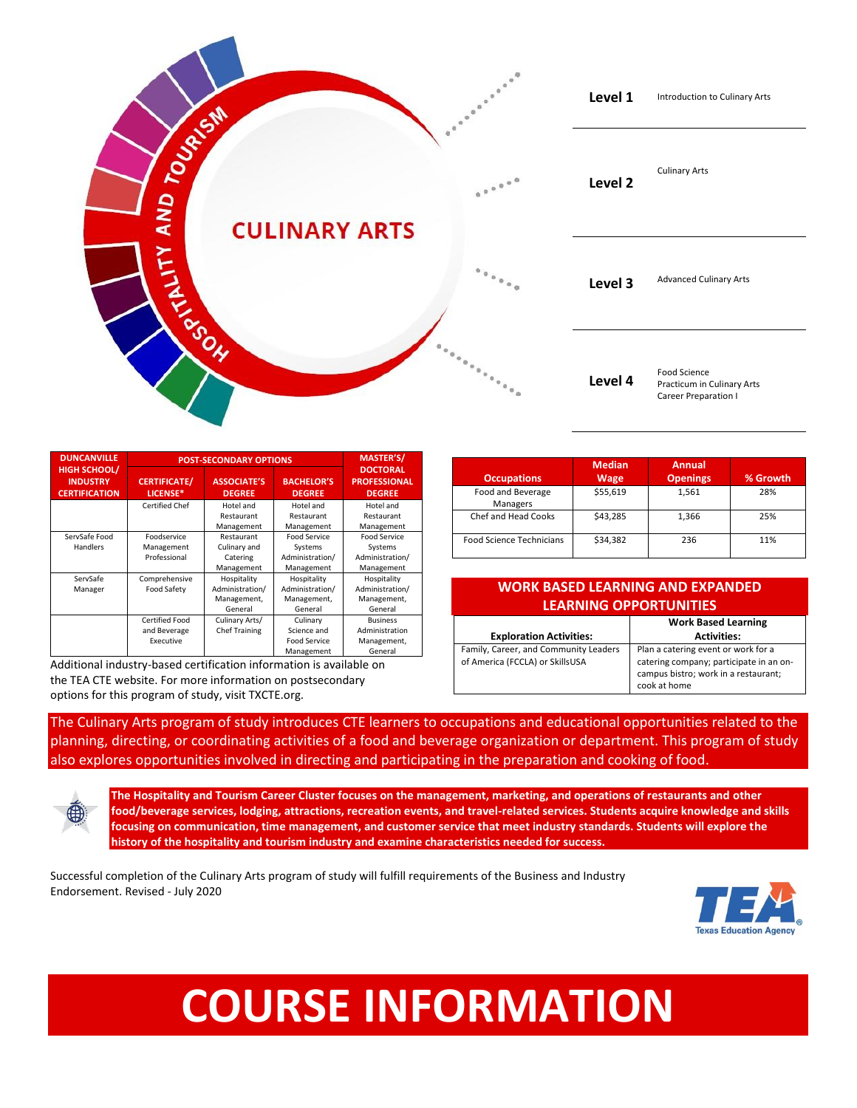

| <b>DUNCANVILLE</b>                                             | <b>POST-SECONDARY OPTIONS</b>               | <b>MASTER'S/</b>                                         |                                                              |                                                                 |
|----------------------------------------------------------------|---------------------------------------------|----------------------------------------------------------|--------------------------------------------------------------|-----------------------------------------------------------------|
| <b>HIGH SCHOOL/</b><br><b>INDUSTRY</b><br><b>CERTIFICATION</b> | <b>CERTIFICATE/</b><br>LICENSE*             | <b>ASSOCIATE'S</b><br><b>DEGREE</b>                      | <b>BACHELOR'S</b><br><b>DEGREE</b>                           | <b>DOCTORAL</b><br><b>PROFESSIONAL</b><br><b>DEGREE</b>         |
|                                                                | <b>Certified Chef</b>                       | Hotel and<br>Restaurant<br>Management                    | Hotel and<br>Restaurant<br>Management                        | Hotel and<br>Restaurant<br>Management                           |
| ServSafe Food<br>Handlers                                      | Foodservice<br>Management<br>Professional   | Restaurant<br>Culinary and<br>Catering<br>Management     | Food Service<br>Systems<br>Administration/<br>Management     | <b>Food Service</b><br>Systems<br>Administration/<br>Management |
| ServSafe<br>Manager                                            | Comprehensive<br>Food Safety                | Hospitality<br>Administration/<br>Management,<br>General | Hospitality<br>Administration/<br>Management,<br>General     | Hospitality<br>Administration/<br>Management,<br>General        |
|                                                                | Certified Food<br>and Beverage<br>Executive | Culinary Arts/<br><b>Chef Training</b>                   | Culinary<br>Science and<br><b>Food Service</b><br>Management | <b>Business</b><br>Administration<br>Management,<br>General     |

Additional industry-based certification information is available on the TEA CTE website. For more information on postsecondary options for this program of study, visit TXCTE.org.

|                                 | <b>Median</b> | <b>Annual</b>   |          |
|---------------------------------|---------------|-----------------|----------|
| <b>Occupations</b>              | <b>Wage</b>   | <b>Openings</b> | % Growth |
| Food and Beverage<br>Managers   | \$55,619      | 1,561           | 28%      |
| Chef and Head Cooks             | \$43.285      | 1,366           | 25%      |
| <b>Food Science Technicians</b> | \$34,382      | 236             | 11%      |

## **WORK BASED LEARNING AND EXPANDED LEARNING OPPORTUNITIES**

|                                                                          | <b>Work Based Learning</b>                                                                                                             |  |
|--------------------------------------------------------------------------|----------------------------------------------------------------------------------------------------------------------------------------|--|
| <b>Exploration Activities:</b>                                           | <b>Activities:</b>                                                                                                                     |  |
| Family, Career, and Community Leaders<br>of America (FCCLA) or SkillsUSA | Plan a catering event or work for a<br>catering company; participate in an on-<br>campus bistro; work in a restaurant;<br>cook at home |  |

The Culinary Arts program of study introduces CTE learners to occupations and educational opportunities related to the planning, directing, or coordinating activities of a food and beverage organization or department. This program of study also explores opportunities involved in directing and participating in the preparation and cooking of food.

**The Hospitality and Tourism Career Cluster focuses on the management, marketing, and operations of restaurants and other food/beverage services, lodging, attractions, recreation events, and travel-related services. Students acquire knowledge and skills focusing on communication, time management, and customer service that meet industry standards. Students will explore the history of the hospitality and tourism industry and examine characteristics needed for success.**

Successful completion of the Culinary Arts program of study will fulfill requirements of the Business and Industry Endorsement. Revised - July 2020



## **COURSE INFORMATION**